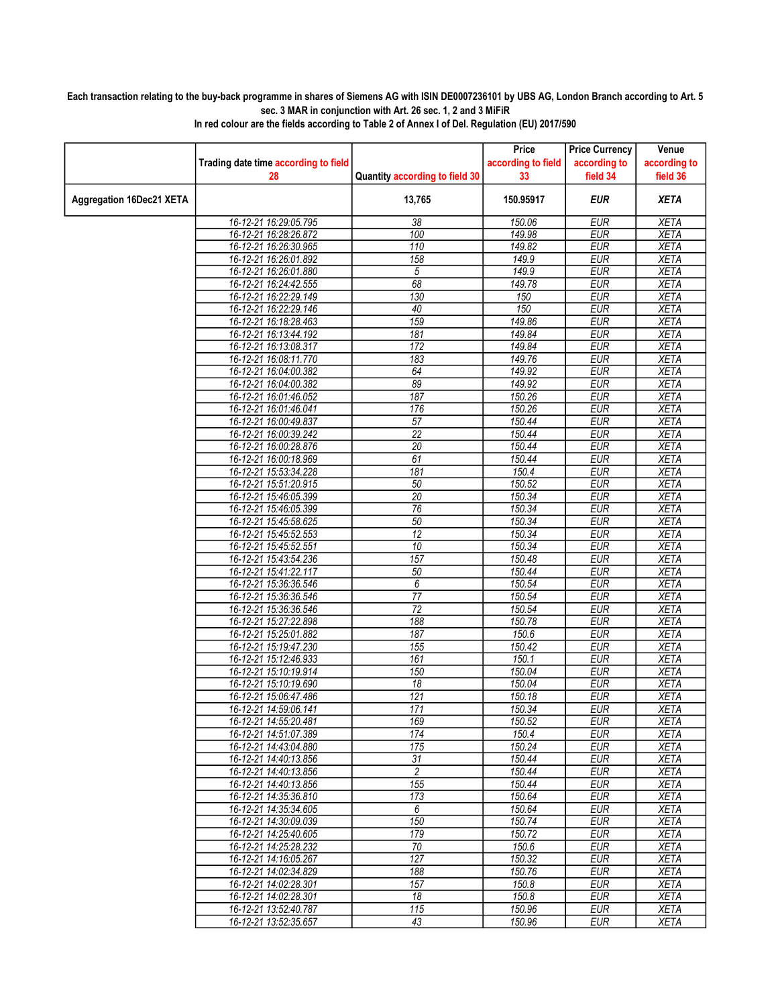## Each transaction relating to the buy-back programme in shares of Siemens AG with ISIN DE0007236101 by UBS AG, London Branch according to Art. 5 sec. 3 MAR in conjunction with Art. 26 sec. 1, 2 and 3 MiFiR

|                                 |                                                |                                | Price              | <b>Price Currency</b>    | Venue                      |
|---------------------------------|------------------------------------------------|--------------------------------|--------------------|--------------------------|----------------------------|
|                                 | Trading date time according to field           |                                | according to field | according to             | according to               |
|                                 | 28                                             | Quantity according to field 30 | 33                 | field 34                 | field 36                   |
| <b>Aggregation 16Dec21 XETA</b> |                                                | 13,765                         | 150.95917          | <b>EUR</b>               | <b>XETA</b>                |
|                                 | 16-12-21 16:29:05.795                          | $\overline{38}$                | 150.06             | <b>EUR</b>               | <b>XETA</b>                |
|                                 | 16-12-21 16:28:26.872                          | 100                            | 149.98             | <b>EUR</b>               | <b>XETA</b>                |
|                                 | 16-12-21 16:26:30.965                          | 110                            | 149.82             | <b>EUR</b>               | <b>XETA</b>                |
|                                 | 16-12-21 16:26:01.892                          | 158                            | 149.9              | <b>EUR</b>               | <b>XETA</b>                |
|                                 | 16-12-21 16:26:01.880                          | 5                              | 149.9              | <b>EUR</b>               | <b>XETA</b>                |
|                                 | 16-12-21 16:24:42.555                          | 68                             | 149.78             | <b>EUR</b>               | <b>XETA</b>                |
|                                 | 16-12-21 16:22:29.149                          | 130                            | 150                | <b>EUR</b>               | <b>XETA</b>                |
|                                 | 16-12-21 16:22:29.146                          | 40                             | 150                | <b>EUR</b>               | <b>XETA</b>                |
|                                 | 16-12-21 16:18:28.463                          | 159                            | 149.86             | EUR                      | <b>XETA</b>                |
|                                 | 16-12-21 16:13:44.192<br>16-12-21 16:13:08.317 | 181<br>172                     | 149.84<br>149.84   | <b>EUR</b><br><b>EUR</b> | <b>XETA</b><br><b>XETA</b> |
|                                 | 16-12-21 16:08:11.770                          | 183                            | 149.76             | <b>EUR</b>               | <b>XETA</b>                |
|                                 | 16-12-21 16:04:00.382                          | 64                             | 149.92             | <b>EUR</b>               | <b>XETA</b>                |
|                                 | 16-12-21 16:04:00.382                          | 89                             | 149.92             | <b>EUR</b>               | <b>XETA</b>                |
|                                 | 16-12-21 16:01:46.052                          | 187                            | 150.26             | <b>EUR</b>               | <b>XETA</b>                |
|                                 | 16-12-21 16:01:46.041                          | 176                            | 150.26             | <b>EUR</b>               | <b>XETA</b>                |
|                                 | 16-12-21 16:00:49.837                          | 57                             | 150.44             | <b>EUR</b>               | <b>XETA</b>                |
|                                 | 16-12-21 16:00:39.242                          | $\overline{22}$                | 150.44             | <b>EUR</b>               | <b>XETA</b>                |
|                                 | 16-12-21 16:00:28.876                          | 20                             | 150.44             | <b>EUR</b>               | <b>XETA</b>                |
|                                 | 16-12-21 16:00:18.969                          | 61                             | 150.44             | <b>EUR</b>               | <b>XETA</b>                |
|                                 | 16-12-21 15:53:34.228                          | 181                            | 150.4              | <b>EUR</b>               | <b>XETA</b>                |
|                                 | 16-12-21 15:51:20.915                          | 50                             | 150.52             | <b>EUR</b>               | <b>XETA</b>                |
|                                 | 16-12-21 15:46:05.399                          | $\overline{20}$                | 150.34             | <b>EUR</b>               | <b>XETA</b>                |
|                                 | 16-12-21 15:46:05.399                          | 76                             | 150.34             | <b>EUR</b>               | <b>XETA</b>                |
|                                 | 16-12-21 15:45:58.625                          | 50                             | 150.34             | <b>EUR</b>               | <b>XETA</b>                |
|                                 | 16-12-21 15:45:52.553                          | 12                             | 150.34             | <b>EUR</b>               | <b>XETA</b>                |
|                                 | 16-12-21 15:45:52.551                          | 10                             | 150.34             | <b>EUR</b>               | <b>XETA</b>                |
|                                 | 16-12-21 15:43:54.236                          | 157                            | 150.48             | <b>EUR</b>               | <b>XETA</b>                |
|                                 | 16-12-21 15:41:22.117                          | 50                             | 150.44             | <b>EUR</b>               | <b>XETA</b>                |
|                                 | 16-12-21 15:36:36.546                          | 6                              | 150.54             | <b>EUR</b>               | <b>XETA</b>                |
|                                 | 16-12-21 15:36:36.546                          | $\overline{77}$                | 150.54             | <b>EUR</b>               | <b>XETA</b>                |
|                                 | 16-12-21 15:36:36.546                          | $\overline{72}$                | 150.54             | <b>EUR</b>               | <b>XETA</b>                |
|                                 | 16-12-21 15:27:22.898                          | 188                            | 150.78             | <b>EUR</b>               | <b>XETA</b>                |
|                                 | 16-12-21 15:25:01.882                          | 187                            | 150.6              | EUR                      | <b>XETA</b>                |
|                                 | 16-12-21 15:19:47.230                          | 155                            | 150.42             | <b>EUR</b>               | <b>XETA</b>                |
|                                 | 16-12-21 15:12:46.933<br>16-12-21 15:10:19.914 | 161<br>150                     | 150.1<br>150.04    | <b>EUR</b><br><b>EUR</b> | <b>XETA</b><br><b>XETA</b> |
|                                 | 16-12-21 15:10:19.690                          | 18                             | 150.04             | <b>EUR</b>               | <b>XETA</b>                |
|                                 | 16-12-21 15:06:47.486                          | 121                            | 150.18             | <b>EUR</b>               | <b>XETA</b>                |
|                                 | 16-12-21 14:59:06.141                          | 171                            | 150.34             | <b>EUR</b>               | <b>XETA</b>                |
|                                 | 16-12-21 14:55:20.481                          | 169                            | 150.52             | <b>EUR</b>               | <b>XETA</b>                |
|                                 | 16-12-21 14:51:07.389                          | 174                            | 150.4              | <b>EUR</b>               | <b>XETA</b>                |
|                                 | 16-12-21 14:43:04.880                          | 175                            | 150.24             | <b>EUR</b>               | <b>XETA</b>                |
|                                 | 16-12-21 14:40:13.856                          | 31                             | 150.44             | <b>EUR</b>               | <b>XETA</b>                |
|                                 | 16-12-21 14:40:13.856                          | $\overline{c}$                 | 150.44             | <b>EUR</b>               | <b>XETA</b>                |
|                                 | 16-12-21 14:40:13.856                          | 155                            | 150.44             | <b>EUR</b>               | <b>XETA</b>                |
|                                 | 16-12-21 14:35:36.810                          | 173                            | 150.64             | <b>EUR</b>               | <b>XETA</b>                |
|                                 | 16-12-21 14:35:34.605                          | 6                              | 150.64             | <b>EUR</b>               | <b>XETA</b>                |
|                                 | 16-12-21 14:30:09.039                          | 150                            | 150.74             | <b>EUR</b>               | XETA                       |
|                                 | 16-12-21 14:25:40.605                          | 179                            | 150.72             | <b>EUR</b>               | <b>XETA</b>                |
|                                 | 16-12-21 14:25:28.232                          | 70                             | 150.6              | <b>EUR</b>               | <b>XETA</b>                |
|                                 | 16-12-21 14:16:05.267                          | 127                            | 150.32             | <b>EUR</b>               | <b>XETA</b>                |
|                                 | 16-12-21 14:02:34.829                          | 188                            | 150.76             | <b>EUR</b>               | <b>XETA</b>                |
|                                 | 16-12-21 14:02:28.301                          | 157                            | 150.8              | <b>EUR</b>               | <b>XETA</b>                |
|                                 | 16-12-21 14:02:28.301                          | 18                             | 150.8              | <b>EUR</b>               | <b>XETA</b>                |
|                                 | 16-12-21 13:52:40.787                          | 115                            | 150.96             | <b>EUR</b>               | <b>XETA</b>                |
|                                 | 16-12-21 13:52:35.657                          | 43                             | 150.96             | <b>EUR</b>               | <b>XETA</b>                |

In red colour are the fields according to Table 2 of Annex I of Del. Regulation (EU) 2017/590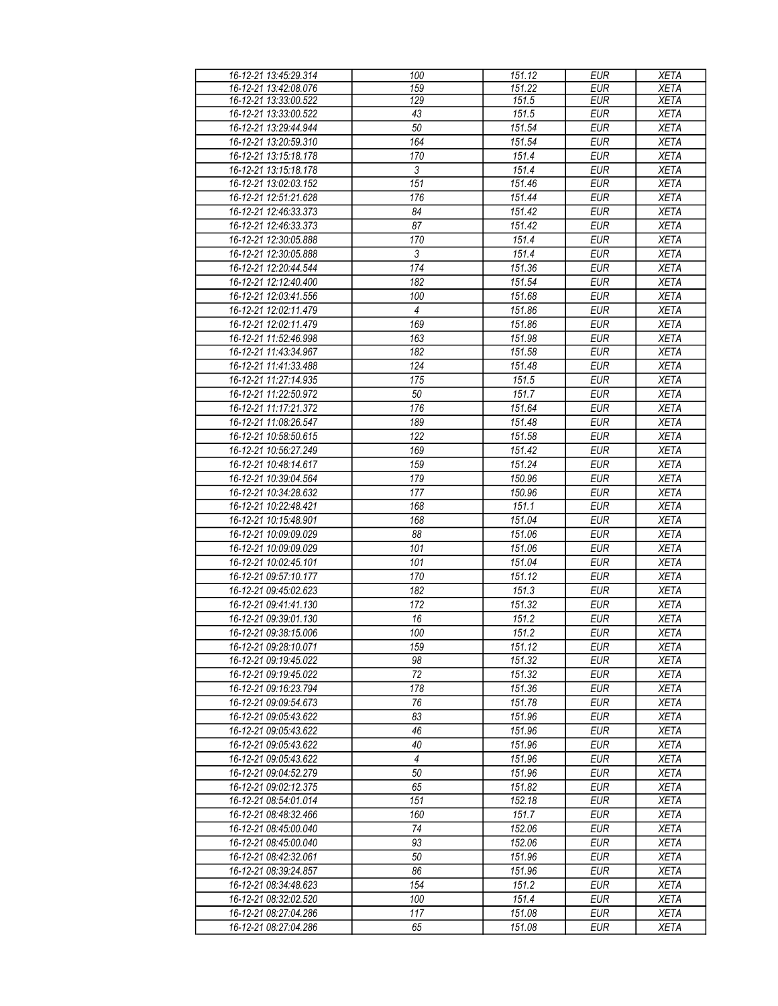| 16-12-21 13:45:29.314 | 100              | 151.12 | <b>EUR</b> | <b>XETA</b> |
|-----------------------|------------------|--------|------------|-------------|
| 16-12-21 13:42:08.076 | 159              | 151.22 | <b>EUR</b> | <b>XETA</b> |
| 16-12-21 13:33:00.522 | 129              | 151.5  | <b>EUR</b> | <b>XETA</b> |
| 16-12-21 13:33:00.522 | 43               | 151.5  | <b>EUR</b> | <b>XETA</b> |
| 16-12-21 13:29:44.944 | 50               | 151.54 | EUR        | <b>XETA</b> |
| 16-12-21 13:20:59.310 | 164              | 151.54 | <b>EUR</b> | <b>XETA</b> |
| 16-12-21 13:15:18.178 | 170              | 151.4  | EUR        | <b>XETA</b> |
| 16-12-21 13:15:18.178 | $\mathfrak{Z}$   | 151.4  | <b>EUR</b> | <b>XETA</b> |
| 16-12-21 13:02:03.152 | 151              | 151.46 | <b>EUR</b> | <b>XETA</b> |
| 16-12-21 12:51:21.628 | 176              | 151.44 | <b>EUR</b> | <b>XETA</b> |
| 16-12-21 12:46:33.373 | 84               | 151.42 | <b>EUR</b> | <b>XETA</b> |
| 16-12-21 12:46:33.373 | 87               |        |            |             |
|                       |                  | 151.42 | <b>EUR</b> | <b>XETA</b> |
| 16-12-21 12:30:05.888 | 170              | 151.4  | <b>EUR</b> | <b>XETA</b> |
| 16-12-21 12:30:05.888 | $\overline{3}$   | 151.4  | <b>EUR</b> | <b>XETA</b> |
| 16-12-21 12:20:44.544 | 174              | 151.36 | <b>EUR</b> | <b>XETA</b> |
| 16-12-21 12:12:40.400 | $\overline{182}$ | 151.54 | EUR        | <b>XETA</b> |
| 16-12-21 12:03:41.556 | 100              | 151.68 | <b>EUR</b> | <b>XETA</b> |
| 16-12-21 12:02:11.479 | $\overline{4}$   | 151.86 | <b>EUR</b> | <b>XETA</b> |
| 16-12-21 12:02:11.479 | 169              | 151.86 | <b>EUR</b> | <b>XETA</b> |
| 16-12-21 11:52:46.998 | 163              | 151.98 | <b>EUR</b> | <b>XETA</b> |
| 16-12-21 11:43:34.967 | 182              | 151.58 | <b>EUR</b> | <b>XETA</b> |
| 16-12-21 11:41:33.488 | 124              | 151.48 | <b>EUR</b> | <b>XETA</b> |
| 16-12-21 11:27:14.935 | 175              | 151.5  | EUR        | <b>XETA</b> |
| 16-12-21 11:22:50.972 | 50               | 151.7  | <b>EUR</b> | <b>XETA</b> |
| 16-12-21 11:17:21.372 | 176              | 151.64 | <b>EUR</b> | <b>XETA</b> |
| 16-12-21 11:08:26.547 | 189              | 151.48 | <b>EUR</b> | <b>XETA</b> |
| 16-12-21 10:58:50.615 | 122              | 151.58 | <b>EUR</b> | <b>XETA</b> |
| 16-12-21 10:56:27.249 | 169              | 151.42 | <b>EUR</b> | <b>XETA</b> |
| 16-12-21 10:48:14.617 | 159              | 151.24 | <b>EUR</b> | <b>XETA</b> |
|                       | 179              | 150.96 | EUR        |             |
| 16-12-21 10:39:04.564 |                  |        |            | <b>XETA</b> |
| 16-12-21 10:34:28.632 | 177              | 150.96 | <b>EUR</b> | <b>XETA</b> |
| 16-12-21 10:22:48.421 | 168              | 151.1  | EUR        | <b>XETA</b> |
| 16-12-21 10:15:48.901 | 168              | 151.04 | <b>EUR</b> | <b>XETA</b> |
| 16-12-21 10:09:09.029 | 88               | 151.06 | <b>EUR</b> | <b>XETA</b> |
| 16-12-21 10:09:09.029 | 101              | 151.06 | <b>EUR</b> | <b>XETA</b> |
| 16-12-21 10:02:45.101 | 101              | 151.04 | <b>EUR</b> | <b>XETA</b> |
| 16-12-21 09:57:10.177 | 170              | 151.12 | <b>EUR</b> | <b>XETA</b> |
| 16-12-21 09:45:02.623 | 182              | 151.3  | <b>EUR</b> | <b>XETA</b> |
| 16-12-21 09:41:41.130 | 172              | 151.32 | <b>EUR</b> | <b>XETA</b> |
| 16-12-21 09:39:01.130 | 16               | 151.2  | <b>EUR</b> | <b>XETA</b> |
| 16-12-21 09:38:15.006 | 100              | 151.2  | EUR        | <b>XETA</b> |
| 16-12-21 09:28:10.071 | 159              | 151.12 | <b>EUR</b> | <b>XETA</b> |
| 16-12-21 09:19:45.022 | 98               | 151.32 | <b>EUR</b> | <b>XETA</b> |
| 16-12-21 09:19:45.022 | 72               | 151.32 | <b>EUR</b> | <b>XETA</b> |
| 16-12-21 09:16:23.794 | 178              | 151.36 | <b>EUR</b> | <b>XETA</b> |
| 16-12-21 09:09:54.673 | 76               | 151.78 | <b>EUR</b> | <b>XETA</b> |
| 16-12-21 09:05:43.622 | 83               | 151.96 | <b>EUR</b> | <b>XETA</b> |
| 16-12-21 09:05:43.622 | 46               | 151.96 | <b>EUR</b> | <b>XETA</b> |
| 16-12-21 09:05:43.622 | 40               | 151.96 | <b>EUR</b> | <b>XETA</b> |
| 16-12-21 09:05:43.622 | $\overline{4}$   | 151.96 | <b>EUR</b> | <b>XETA</b> |
| 16-12-21 09:04:52.279 | 50               | 151.96 | <b>EUR</b> | <b>XETA</b> |
| 16-12-21 09:02:12.375 | 65               | 151.82 | <b>EUR</b> | <b>XETA</b> |
|                       |                  |        |            |             |
| 16-12-21 08:54:01.014 | 151              | 152.18 | <b>EUR</b> | <b>XETA</b> |
| 16-12-21 08:48:32.466 | 160              | 151.7  | <b>EUR</b> | <b>XETA</b> |
| 16-12-21 08:45:00.040 | 74               | 152.06 | <b>EUR</b> | <b>XETA</b> |
| 16-12-21 08:45:00.040 | 93               | 152.06 | <b>EUR</b> | <b>XETA</b> |
| 16-12-21 08:42:32.061 | 50               | 151.96 | EUR        | <b>XETA</b> |
| 16-12-21 08:39:24.857 | 86               | 151.96 | <b>EUR</b> | <b>XETA</b> |
| 16-12-21 08:34:48.623 | 154              | 151.2  | <b>EUR</b> | <b>XETA</b> |
| 16-12-21 08:32:02.520 | 100              | 151.4  | <b>EUR</b> | <b>XETA</b> |
| 16-12-21 08:27:04.286 | 117              | 151.08 | <b>EUR</b> | <b>XETA</b> |
| 16-12-21 08:27:04.286 | 65               | 151.08 | <b>EUR</b> | <b>XETA</b> |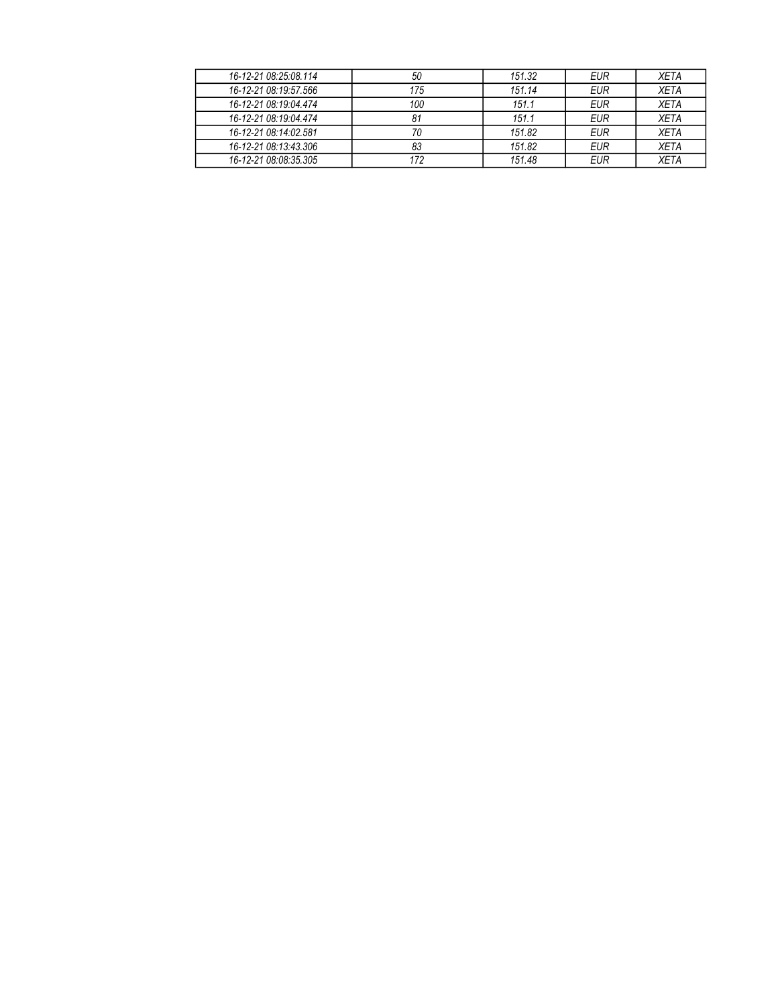| 16-12-21 08:25:08.114 | 50  | 151.32 | <b>EUR</b> | <b>XETA</b> |
|-----------------------|-----|--------|------------|-------------|
| 16-12-21 08:19:57.566 | 175 | 151.14 | EUR        | <b>XETA</b> |
| 16-12-21 08:19:04 474 | 100 | 151.1  | <b>EUR</b> | <b>XETA</b> |
| 16-12-21 08:19:04 474 | 81  | 151.1  | <b>EUR</b> | <b>XETA</b> |
| 16-12-21 08:14:02.581 | 70  | 151.82 | <b>EUR</b> | <b>XETA</b> |
| 16-12-21 08:13:43.306 | 83  | 151.82 | <b>EUR</b> | <b>XETA</b> |
| 16-12-21 08:08:35.305 | 172 | 151.48 | <b>EUR</b> | <b>XETA</b> |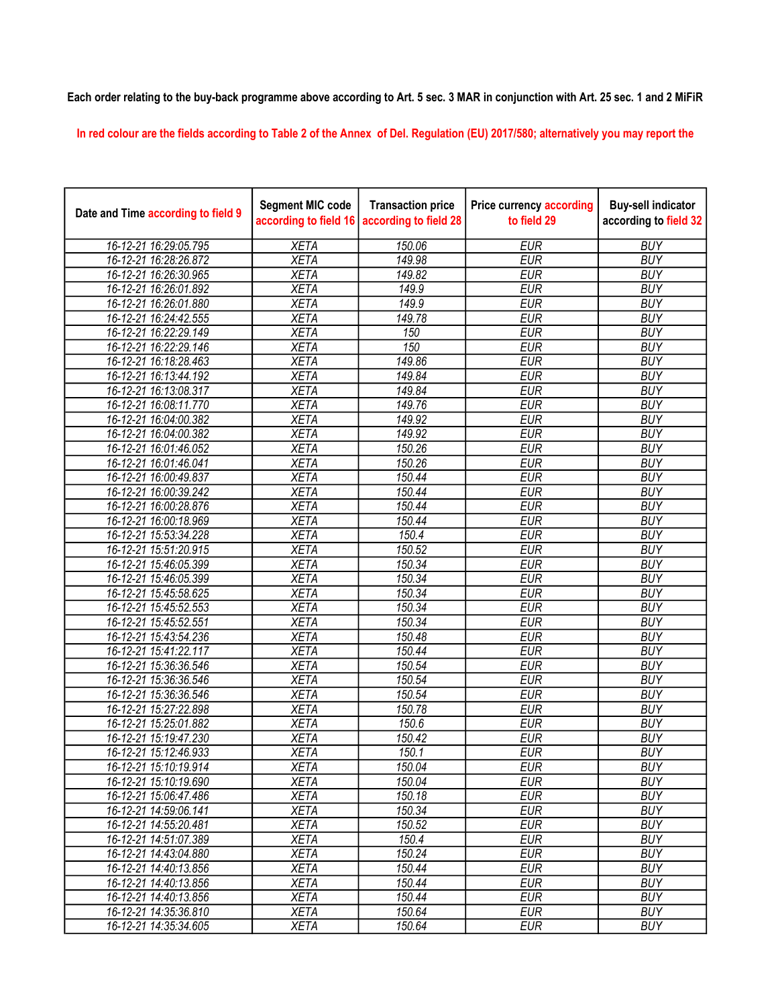## Each order relating to the buy-back programme above according to Art. 5 sec. 3 MAR in conjunction with Art. 25 sec. 1 and 2 MiFiR

In red colour are the fields according to Table 2 of the Annex of Del. Regulation (EU) 2017/580; alternatively you may report the

| Date and Time according to field 9 | <b>Segment MIC code</b><br>according to field 16 | <b>Transaction price</b><br>according to field 28 | <b>Price currency according</b><br>to field 29 | <b>Buy-sell indicator</b><br>according to field 32 |
|------------------------------------|--------------------------------------------------|---------------------------------------------------|------------------------------------------------|----------------------------------------------------|
| 16-12-21 16:29:05.795              | <b>XETA</b>                                      | 150.06                                            | <b>EUR</b>                                     | <b>BUY</b>                                         |
| 16-12-21 16:28:26.872              | <b>XETA</b>                                      | 149.98                                            | <b>EUR</b>                                     | <b>BUY</b>                                         |
| 16-12-21 16:26:30.965              | <b>XETA</b>                                      | 149.82                                            | <b>EUR</b>                                     | <b>BUY</b>                                         |
| 16-12-21 16:26:01.892              | <b>XETA</b>                                      | 149.9                                             | <b>EUR</b>                                     | <b>BUY</b>                                         |
| 16-12-21 16:26:01.880              | <b>XETA</b>                                      | 149.9                                             | <b>EUR</b>                                     | <b>BUY</b>                                         |
| 16-12-21 16:24:42.555              | <b>XETA</b>                                      | 149.78                                            | <b>EUR</b>                                     | <b>BUY</b>                                         |
| 16-12-21 16:22:29.149              | <b>XETA</b>                                      | 150                                               | <b>EUR</b>                                     | <b>BUY</b>                                         |
| 16-12-21 16:22:29.146              | <b>XETA</b>                                      | 150                                               | <b>EUR</b>                                     | <b>BUY</b>                                         |
| 16-12-21 16:18:28.463              | <b>XETA</b>                                      | 149.86                                            | <b>EUR</b>                                     | <b>BUY</b>                                         |
| 16-12-21 16:13:44.192              | <b>XETA</b>                                      | 149.84                                            | <b>EUR</b>                                     | <b>BUY</b>                                         |
| 16-12-21 16:13:08.317              | <b>XETA</b>                                      | 149.84                                            | <b>EUR</b>                                     | <b>BUY</b>                                         |
| 16-12-21 16:08:11.770              | <b>XETA</b>                                      | 149.76                                            | <b>EUR</b>                                     | <b>BUY</b>                                         |
| 16-12-21 16:04:00.382              | <b>XETA</b>                                      | 149.92                                            | <b>EUR</b>                                     | <b>BUY</b>                                         |
| 16-12-21 16:04:00.382              | <b>XETA</b>                                      | 149.92                                            | <b>EUR</b>                                     | <b>BUY</b>                                         |
| 16-12-21 16:01:46.052              | <b>XETA</b>                                      | 150.26                                            | <b>EUR</b>                                     | <b>BUY</b>                                         |
| 16-12-21 16:01:46.041              | <b>XETA</b>                                      | 150.26                                            | <b>EUR</b>                                     | <b>BUY</b>                                         |
| 16-12-21 16:00:49.837              | <b>XETA</b>                                      | 150.44                                            | <b>EUR</b>                                     | <b>BUY</b>                                         |
| 16-12-21 16:00:39.242              | <b>XETA</b>                                      | 150.44                                            | <b>EUR</b>                                     | <b>BUY</b>                                         |
| 16-12-21 16:00:28.876              | <b>XETA</b>                                      | 150.44                                            | <b>EUR</b>                                     | <b>BUY</b>                                         |
| 16-12-21 16:00:18.969              | <b>XETA</b>                                      | 150.44                                            | <b>EUR</b>                                     | <b>BUY</b>                                         |
| 16-12-21 15:53:34.228              | <b>XETA</b>                                      | 150.4                                             | <b>EUR</b>                                     | <b>BUY</b>                                         |
| 16-12-21 15:51:20.915              | <b>XETA</b>                                      | 150.52                                            | <b>EUR</b>                                     | <b>BUY</b>                                         |
| 16-12-21 15:46:05.399              | <b>XETA</b>                                      | 150.34                                            | <b>EUR</b>                                     | <b>BUY</b>                                         |
| 16-12-21 15:46:05.399              | <b>XETA</b>                                      | 150.34                                            | <b>EUR</b>                                     | <b>BUY</b>                                         |
| 16-12-21 15:45:58.625              | <b>XETA</b>                                      | 150.34                                            | <b>EUR</b>                                     | <b>BUY</b>                                         |
| 16-12-21 15:45:52.553              | <b>XETA</b>                                      | 150.34                                            | <b>EUR</b>                                     | <b>BUY</b>                                         |
| 16-12-21 15:45:52.551              | <b>XETA</b>                                      | 150.34                                            | <b>EUR</b>                                     | <b>BUY</b>                                         |
| 16-12-21 15:43:54.236              | <b>XETA</b>                                      | 150.48                                            | <b>EUR</b>                                     | <b>BUY</b>                                         |
| 16-12-21 15:41:22.117              | <b>XETA</b>                                      | 150.44                                            | <b>EUR</b>                                     | <b>BUY</b>                                         |
| 16-12-21 15:36:36.546              | <b>XETA</b>                                      | 150.54                                            | <b>EUR</b>                                     | <b>BUY</b>                                         |
| 16-12-21 15:36:36.546              | <b>XETA</b>                                      | 150.54                                            | <b>EUR</b>                                     | <b>BUY</b>                                         |
| 16-12-21 15:36:36.546              | <b>XETA</b>                                      | 150.54                                            | <b>EUR</b>                                     | <b>BUY</b>                                         |
| 16-12-21 15:27:22.898              | <b>XETA</b>                                      | 150.78                                            | <b>EUR</b>                                     | <b>BUY</b>                                         |
| 16-12-21 15:25:01.882              | <b>XETA</b>                                      | 150.6                                             | <b>EUR</b>                                     | <b>BUY</b>                                         |
| 16-12-21 15:19:47.230              | <b>XETA</b>                                      | 150.42                                            | <b>EUR</b>                                     | <b>BUY</b>                                         |
| 16-12-21 15:12:46.933              | <b>XETA</b>                                      | 150.1                                             | <b>EUR</b>                                     | <b>BUY</b>                                         |
| 16-12-21 15:10:19.914              | <b>XETA</b>                                      | 150.04                                            | <b>EUR</b>                                     | <b>BUY</b>                                         |
| 16-12-21 15:10:19.690              | <b>XETA</b>                                      | 150.04                                            | <b>EUR</b>                                     | <b>BUY</b>                                         |
| 16-12-21 15:06:47.486              | <b>XETA</b>                                      | 150.18                                            | <b>EUR</b>                                     | <b>BUY</b>                                         |
| 16-12-21 14:59:06.141              | <b>XETA</b>                                      | 150.34                                            | <b>EUR</b>                                     | <b>BUY</b>                                         |
| 16-12-21 14:55:20.481              | <b>XETA</b>                                      | 150.52                                            | <b>EUR</b>                                     | <b>BUY</b>                                         |
| 16-12-21 14:51:07.389              | <b>XETA</b>                                      | 150.4                                             | <b>EUR</b>                                     | <b>BUY</b>                                         |
| 16-12-21 14:43:04.880              | <b>XETA</b>                                      | 150.24                                            | <b>EUR</b>                                     | <b>BUY</b>                                         |
| 16-12-21 14:40:13.856              | <b>XETA</b>                                      | 150.44                                            | <b>EUR</b>                                     | <b>BUY</b>                                         |
| 16-12-21 14:40:13.856              | <b>XETA</b>                                      | 150.44                                            | <b>EUR</b>                                     | <b>BUY</b>                                         |
| 16-12-21 14:40:13.856              | <b>XETA</b>                                      | 150.44                                            | <b>EUR</b>                                     | <b>BUY</b>                                         |
| 16-12-21 14:35:36.810              | <b>XETA</b>                                      | 150.64                                            | <b>EUR</b>                                     | <b>BUY</b>                                         |
| 16-12-21 14:35:34.605              | <b>XETA</b>                                      | 150.64                                            | <b>EUR</b>                                     | <b>BUY</b>                                         |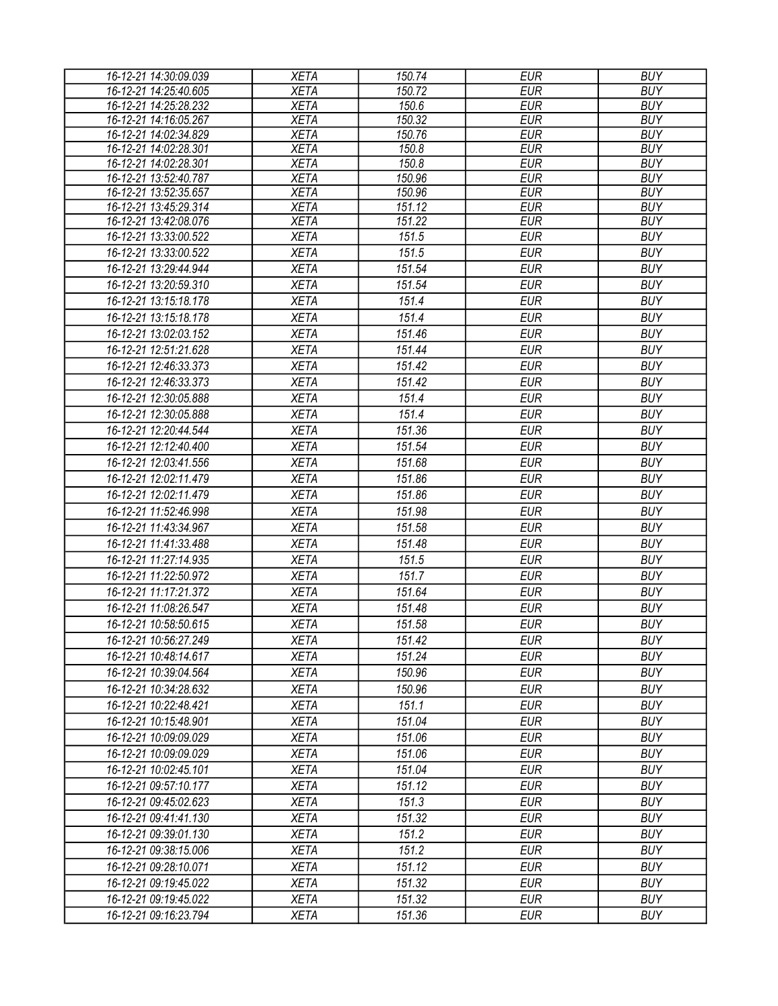| 16-12-21 14:30:09.039                          | <b>XETA</b>                | 150.74           | <b>EUR</b>               | <b>BUY</b>               |
|------------------------------------------------|----------------------------|------------------|--------------------------|--------------------------|
| 16-12-21 14:25:40.605                          | <b>XETA</b>                | 150.72           | <b>EUR</b>               | <b>BUY</b>               |
| 16-12-21 14:25:28.232                          | <b>XETA</b>                | 150.6            | <b>EUR</b>               | <b>BUY</b>               |
| 16-12-21 14:16:05.267                          | <b>XETA</b>                | 150.32           | <b>EUR</b>               | <b>BUY</b>               |
| 16-12-21 14:02:34.829                          | <b>XETA</b>                | 150.76           | <b>EUR</b>               | <b>BUY</b>               |
| 16-12-21 14:02:28.301                          | <b>XETA</b>                | 150.8            | <b>EUR</b>               | <b>BUY</b>               |
| 16-12-21 14:02:28.301                          | <b>XETA</b>                | 150.8            | <b>EUR</b>               | <b>BUY</b>               |
| 16-12-21 13:52:40.787                          | <b>XETA</b>                | 150.96           | <b>EUR</b>               | <b>BUY</b>               |
| 16-12-21 13:52:35.657                          | <b>XETA</b>                | 150.96<br>151.12 | <b>EUR</b>               | <b>BUY</b>               |
| 16-12-21 13:45:29.314<br>16-12-21 13:42:08.076 | <b>XETA</b><br><b>XETA</b> | 151.22           | <b>EUR</b><br><b>EUR</b> | <b>BUY</b><br><b>BUY</b> |
| 16-12-21 13:33:00.522                          | <b>XETA</b>                | 151.5            | <b>EUR</b>               | <b>BUY</b>               |
| 16-12-21 13:33:00.522                          | <b>XETA</b>                | 151.5            | <b>EUR</b>               | <b>BUY</b>               |
| 16-12-21 13:29:44.944                          |                            |                  | <b>EUR</b>               | <b>BUY</b>               |
|                                                | <b>XETA</b>                | 151.54           |                          |                          |
| 16-12-21 13:20:59.310                          | <b>XETA</b>                | 151.54           | <b>EUR</b>               | <b>BUY</b>               |
| 16-12-21 13:15:18.178                          | <b>XETA</b>                | 151.4            | <b>EUR</b>               | <b>BUY</b>               |
| 16-12-21 13:15:18.178                          | <b>XETA</b>                | 151.4            | <b>EUR</b>               | <b>BUY</b>               |
| 16-12-21 13:02:03.152                          | <b>XETA</b>                | 151.46           | <b>EUR</b>               | <b>BUY</b>               |
| 16-12-21 12:51:21.628                          | <b>XETA</b>                | 151.44           | <b>EUR</b>               | <b>BUY</b>               |
| 16-12-21 12:46:33.373                          | <b>XETA</b>                | 151.42           | <b>EUR</b>               | <b>BUY</b>               |
| 16-12-21 12:46:33.373                          | <b>XETA</b>                | 151.42           | <b>EUR</b>               | <b>BUY</b>               |
| 16-12-21 12:30:05.888                          | <b>XETA</b>                | 151.4            | <b>EUR</b>               | <b>BUY</b>               |
| 16-12-21 12:30:05.888                          | <b>XETA</b>                | 151.4            | <b>EUR</b>               | <b>BUY</b>               |
| 16-12-21 12:20:44.544                          | <b>XETA</b>                | 151.36           | <b>EUR</b>               | <b>BUY</b>               |
| 16-12-21 12:12:40.400                          | <b>XETA</b>                | 151.54           | <b>EUR</b>               | <b>BUY</b>               |
| 16-12-21 12:03:41.556                          | <b>XETA</b>                | 151.68           | <b>EUR</b>               | <b>BUY</b>               |
| 16-12-21 12:02:11.479                          | <b>XETA</b>                | 151.86           | <b>EUR</b>               | <b>BUY</b>               |
| 16-12-21 12:02:11.479                          | <b>XETA</b>                | 151.86           | <b>EUR</b>               | <b>BUY</b>               |
| 16-12-21 11:52:46.998                          | <b>XETA</b>                | 151.98           | <b>EUR</b>               | <b>BUY</b>               |
| 16-12-21 11:43:34.967                          | <b>XETA</b>                | 151.58           | <b>EUR</b>               | <b>BUY</b>               |
| 16-12-21 11:41:33.488                          | <b>XETA</b>                | 151.48           | <b>EUR</b>               | <b>BUY</b>               |
| 16-12-21 11:27:14.935                          | <b>XETA</b>                | 151.5            | <b>EUR</b>               | <b>BUY</b>               |
| 16-12-21 11:22:50.972                          | <b>XETA</b>                | 151.7            | <b>EUR</b>               | <b>BUY</b>               |
| 16-12-21 11:17:21.372                          | <b>XETA</b>                | 151.64           | <b>EUR</b>               | <b>BUY</b>               |
| 16-12-21 11:08:26.547                          | <b>XETA</b>                | 151.48           | <b>EUR</b>               | <b>BUY</b>               |
| 16-12-21 10:58:50.615                          | <b>XETA</b>                | 151.58           | <b>EUR</b>               | <b>BUY</b>               |
| 16-12-21 10:56:27.249                          | <b>XETA</b>                | 151.42           | <b>EUR</b>               | <b>BUY</b>               |
| 16-12-21 10:48:14.617                          | <b>XETA</b>                | 151.24           | EUR                      | <b>BUY</b>               |
| 16-12-21 10:39:04.564                          | <b>XETA</b>                | 150.96           | <b>EUR</b>               | <b>BUY</b>               |
| 16-12-21 10:34:28.632                          |                            | 150.96           | <b>EUR</b>               | <b>BUY</b>               |
|                                                | <b>XETA</b>                | 151.1            |                          |                          |
| 16-12-21 10:22:48.421                          | <b>XETA</b>                |                  | <b>EUR</b>               | <b>BUY</b>               |
| 16-12-21 10:15:48.901                          | <b>XETA</b>                | 151.04           | <b>EUR</b>               | <b>BUY</b>               |
| 16-12-21 10:09:09.029                          | <b>XETA</b>                | 151.06           | <b>EUR</b>               | <b>BUY</b>               |
| 16-12-21 10:09:09.029                          | <b>XETA</b>                | 151.06           | <b>EUR</b>               | <b>BUY</b>               |
| 16-12-21 10:02:45.101                          | <b>XETA</b>                | 151.04           | <b>EUR</b>               | <b>BUY</b>               |
| 16-12-21 09:57:10.177                          | <b>XETA</b>                | 151.12           | <b>EUR</b>               | <b>BUY</b>               |
| 16-12-21 09:45:02.623                          | <b>XETA</b>                | 151.3            | <b>EUR</b>               | <b>BUY</b>               |
| 16-12-21 09:41:41.130                          | <b>XETA</b>                | 151.32           | <b>EUR</b>               | <b>BUY</b>               |
| 16-12-21 09:39:01.130                          | <b>XETA</b>                | 151.2            | <b>EUR</b>               | <b>BUY</b>               |
| 16-12-21 09:38:15.006                          | <b>XETA</b>                | 151.2            | <b>EUR</b>               | <b>BUY</b>               |
| 16-12-21 09:28:10.071                          | <b>XETA</b>                | 151.12           | <b>EUR</b>               | <b>BUY</b>               |
| 16-12-21 09:19:45.022                          | <b>XETA</b>                | 151.32           | <b>EUR</b>               | <b>BUY</b>               |
| 16-12-21 09:19:45.022                          | <b>XETA</b>                | 151.32           | <b>EUR</b>               | <b>BUY</b>               |
| 16-12-21 09:16:23.794                          | XETA                       | 151.36           | <b>EUR</b>               | <b>BUY</b>               |